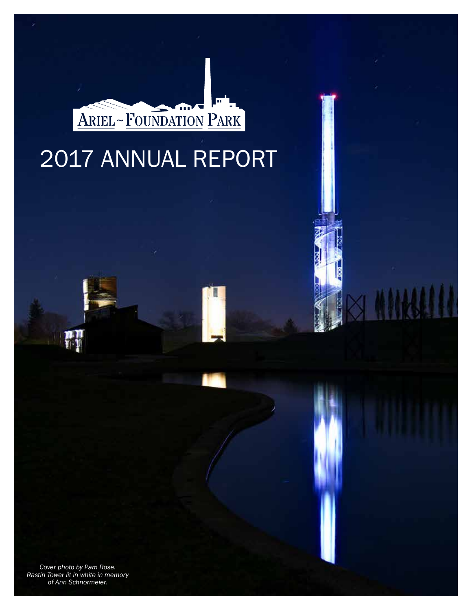

# 2017 ANNUAL REPORT

*Cover photo by Pam Rose. Rastin Tower lit in white in memory of Ann Schnormeier.*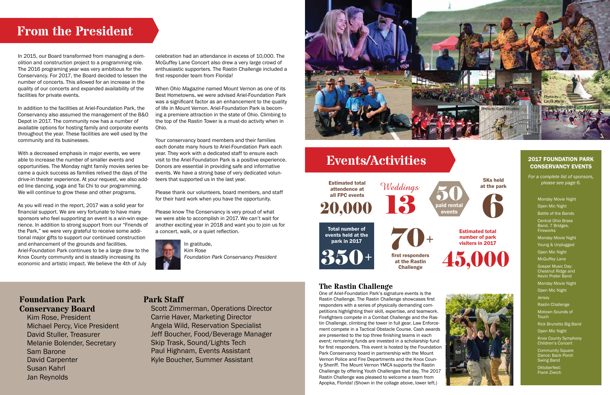In 2015, our Board transformed from managing a demolition and construction project to a programming role. The 2016 programing year was very ambitious for the Conservancy. For 2017, the Board decided to lessen the number of concerts. This allowed for an increase in the quality of our concerts and expanded availability of the facilities for private events.

In addition to the facilities at Ariel-Foundation Park, the Conservancy also assumed the management of the B&O Depot in 2017. The community now has a number of available options for hosting family and corporate events throughout the year. These facilities are well used by the community and its businesses.

With a decreased emphasis in major events, we were able to increase the number of smaller events and opportunities. The Monday night family movies series became a quick success as families relived the days of the drive-in theater experience. At your request, we also added line dancing, yoga and Tai Chi to our programming. We will continue to grow these and other programs.

As you will read in the report, 2017 was a solid year for financial support. We are very fortunate to have many sponsors who feel supporting an event is a win-win experience. In addition to strong support from our "Friends of the Park," we were very grateful to receive some additional major gifts to support our continued construction and enhancement of the grounds and facilities. Ariel-Foundation Park continues to be a large draw to the Knox County community and is steadily increasing its economic and artistic impact. We believe the 4th of July

celebration had an attendance in excess of 10,000. The McGuffey Lane Concert also drew a very large crowd of enthusiastic supporters. The Rastin Challenge included a first responder team from Florida!

When *Ohio Magazine* named Mount Vernon as one of its Best Hometowns, we were advised Ariel-Foundation Park was a significant factor as an enhancement to the quality of life in Mount Vernon. Ariel-Foundation Park is becoming a premiere attraction in the state of Ohio. Climbing to the top of the Rastin Tower is a must-do activity when in Ohio.

Your conservancy board members and their families each donate many hours to Ariel-Foundation Park each year. They work with a dedicated staff to ensure each visit to the Ariel-Foundation Park is a positive experience. Donors are essential in providing safe and informative events. We have a strong base of very dedicated volunteers that supported us in the last year.

 $20,000$   $13$ Estimated total attendence at

> 70+ first responders at the Rastin **Challenge**

Please thank our volunteers, board members, and staff for their hard work when you have the opportunity.

Please know The Conservancy is very proud of what we were able to accomplish in 2017. We can't wait for another exciting year in 2018 and want you to join us for a concert, walk, or a quiet reflection.



In gratitude, Kim Rose *Foundation Park Conservancy President*

# **From the President**

## **Park Staff**

 Scott Zimmerman, Operations Director Carrie Haver, Marketing Director Angela Wild, Reservation Specialist Jeff Boucher, Food/Beverage Manager Skip Trask, Sound/Lights Tech Paul Highnam, Events Assistant Kyle Boucher, Summer Assistant



# **Events/Activities**

## **The Rastin Challenge**

One of Ariel-Foundation Park's signature events is the **Foundation Park Staff Park Staff Park and Challenge. The Rastin Challenge. The Rastin Challenge showcases first First of Photo by Carol Shurlow Foundation in the Astronomy of the Rastin Challenge showcases first** responders with a series of physically demanding competitions highlighting their skill, expertise, and teamwork. Firefighters compete in a Combat Challenge and the Rastin Challenge, climbing the tower in full gear. Law Enforcement compete in a Tactical Obstacle Course. Cash awards are presented to the top three finishing teams in each event; remaining funds are invested in a scholarship fund for first responders. This event is hosted by the Foundation Park Conservancy board in partnership with the Mount Vernon Police and Fire Departments and the Knox County Sheriff. The Mount Vernon YMCA supports the Rastin Challenge by offering Youth Challenges that day. The 2017 Rastin Challenge was pleased to welcome a team from Apopka, Florida! (Shown in the collage above, lower left.)

- Monday Movie Night Open Mic Night
- Battle of the Bands
- Central Ohio Brass
- Band, 7 Bridges, **Fireworks**
- Monday Movie Night
- Young & Unplugged
- Open Mic Night
- McGuffey Lane
- Gospel Music Day: Chestnut Ridge and Kevin Prater Band
- Monday Movie Night
- Open Mic Night
- Jersey
- Rastin Challenge
- Motown Sounds of **Touch**
- Rick Brunetto Big Band
- Open Mic Night
- Knox County Symphony Children's Concert
- Community Square Dance: Back Porch Swing Band
- Oktoberfest: Frank Ziwich

#### 2017 FOUNDATION PARK CONSERVANCY EVENTS

*For a complete list of sponsors, please see page 6.*





paid rental 50 events 5Ks held at the park 6





#### Estimated total number of park visiters in 2017

# **Conservancy Board**

 Kim Rose, President Michael Percy, Vice President David Stuller, Treasurer Melanie Bolender, Secretary Sam Barone David Carpenter Susan Kahrl Jan Reynolds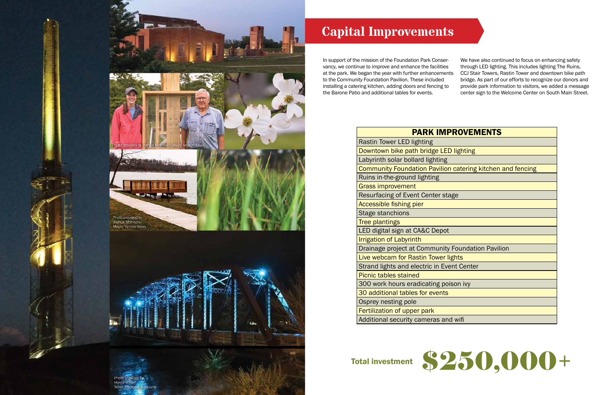

# **Capital Improvements**

In support of the mission of the Foundation Park Conservancy, we continue to improve and enhance the facilities at the park. We began the year with further enhancements to the Community Foundation Pavilion. These included installing a catering kitchen, adding doors and fencing to the Barone Patio and additional tables for events. We have also continued to focus on enhancing safety through LED lighting. This includes lighting The Ruins, CCJ Stair Towers, Rastin Tower and downtown bike path bridge. As part of our efforts to recognize our donors and provide park information to visitors, we added a message center sign to the Welcome Center on South Main Street.

## **PARK IMP**

| <b>Rastin Tower LED lighting</b>                                  |
|-------------------------------------------------------------------|
| Downtown bike path bridge LED lighting                            |
| Labyrinth solar bollard lighting                                  |
| <b>Community Foundation Pavilion catering kitchen and fencing</b> |
| Ruins in-the-ground lighting                                      |
| <b>Grass improvement</b>                                          |
| Resurfacing of Event Center stage                                 |
| Accessible fishing pier                                           |
| Stage stanchions                                                  |
| <b>Tree plantings</b>                                             |
| LED digital sign at CA&C Depot                                    |
| <b>Irrigation of Labyrinth</b>                                    |
| Drainage project at Community Foundation Pavilion                 |
| Live webcam for Rastin Tower lights                               |
| Strand lights and electric in Event Center                        |
| <b>Picnic tables stained</b>                                      |
| 300 work hours eradicating poison ivy                             |
| 30 additional tables for events                                   |
| Osprey nesting pole                                               |
| Fertilization of upper park                                       |
| Additional security cameras and wifi                              |





| <b>PROVEMENTS</b>              |
|--------------------------------|
|                                |
| D lighting                     |
|                                |
| n catering kitchen and fencing |
|                                |
|                                |
| age                            |
|                                |
|                                |
|                                |
|                                |
|                                |
| <b>Foundation Pavilion</b>     |
| ights                          |
| ent Center                     |
|                                |
| ison ivy                       |
|                                |
|                                |
|                                |
| d wifi                         |

# Total investment \$250,000+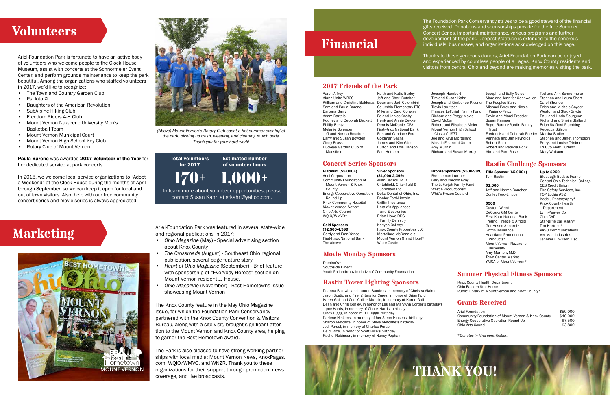### **Rastin Tower Lighting Sponsors**

#### **2017 Friends of the Park**

#### **Concert Series Sponsors**

#### **Grants Received**

## **Volunteers**

Ariel-Foundation Park is fortunate to have an active body of volunteers who welcome people to the Clock House Museum, assist with concerts at the Schnormeier Event Center, and perform grounds maintenance to keep the park beautiful. Among the organizations who staffed volunteers in 2017, we'd like to recognize:

- The Town and Country Garden Club
- Psi Iota Xi
- Daughters of the American Revolution
- SubAlpine Hiking Club
- Freedom Riders 4-H Club
- Mount Vernon Nazarene University Men's Basketball Team
- Mount Vernon Municipal Court
- Mount Vernon High School Key Club
- Rotary Club of Mount Vernon

#### Paula Barone was awarded 2017 Volunteer of the Year for her dedicated service at park concerts.

**Marketing** Ariel-Foundation Park was featured in several state-wide<br>and regional publications in 2017: and regional publications in 2017:

In 2018, we welcome local service organizations to "Adopt a Weekend" at the Clock House during the months of April through September, so we can keep it open for local and out of town visitors. Also, help with our free community concert series and movie series is always appreciated.





- *• Ohio Magazine* (May) Special advertising section about Knox County
- *• The Crossroads* (August) Southeast Ohio regional publication, several page feature story
- *• Heart of Ohio Magazine* (September) Brief feature with sponsorship of "Everyday Heroes" section on Mount Vernon resident JJ House.
- *• Ohio Magazine* (November) Best Hometowns Issue showcasing Mount Vernon

The Knox County feature in the May Ohio Magazine issue, for which the Foundation Park Conservancy partnered with the Knox County Convention & Visitors Bureau, along with a site visit, brought significant attention to the Mount Vernon and Knox County area, helping to garner the Best Hometown award.

The Park is also pleased to have strong working partnerships with local media: Mount Vernon News, KnoxPages. com, WQIO/WMVO, and WNZR. Thank you to these organizations for their support through promotion, news coverage, and live broadcasts.

To learn more about volunteer opportunities, please contact Susan Kahrl at stkahrl@yahoo.com.

170+ Total volunteers for 2017 1,000+ Estimated number of volunteer hours

*(Above) Mount Vernon's Rotary Club spent a hot summer evening at the park, picking up trash, weeding, and cleaning mulch beds. Thank you for your hard work!*

Aaron Alfrey Akron Unite WBCCI William and Christina Balderaz Dean and Jodi Colombini Sam and Paula Barone Barbara Barry Adam Bartels Rodney and Deborah Beckett Phillip Bentz Melanie Bolender Jeff and Norma Boucher Barry and Susan Bowden Cindy Brass Buckeye Garden Club of Mansfield

Keith and Katie Burley Jeff and Cheri Butcher Columbia Elementary PTO Mike and Carol Conway Ed and Janice Cosby Henk and Annie Dekker Dennis-McDaniel CPA First-Knox National Bank Ron and Candace Fox Goldman Sachs James and Kim Giles Burton and Lois Hanson Paul Hothem

Joeseph Humbert Tim and Susan Kahrl Joseph and Kimberlee Klesner Travis Lauritsen Frances LeFurjah Family Fund Richard and Peggy Mavis David McCann Robert and Elisabeth Meier Mount Vernon High School Class of 1977 Joe and Krys Mortellaro Mosaic Financial Group Amy Murnin

RIchard and Susan Murray

Joseph and Sally Nelson Marc and Jennifer Odenweller The Peoples Bank Michael Percy and Nicole Pagano-Percy David and Marci Pressler Susan Ramser Roger Rardin/Rardin Family Trust Frederick and Deborah Reeder Kenneth and Jan Reynolds Robert Rock Robert and Patricia Ronk Kim and Pam Rose

Ted and Ann Schnormeier Stephen and Laura Short Carol Shurlow Brien and Michele Snyder Weston and Stacy Snyder Paul and Linda Spurgeon Richard and Sheila Stallard Brian Stafford Plumbing Rebecca Stilson Martha Stuller Stephen and Janet Thompson Perry and Louise Trinkner TruCut/Andy Durbin\* Mary Whitacre

Platinum (\$5,000+) Ariel Corporation Community Foundation of Mount Vernon & Knox County Energy Cooperative Operation

 Round Up Knox Community Hospital *Mount Vernon News\** Ohio Arts Council WQIO/WMVO\*

Gold Sponsors (\$2,500-4,999) Gordy and Fran Yance First-Knox National Bank The Alcove

Silver Sponsors (\$1,000-2,499) Allan Bazzoli, M.D. Critchfield, Critchfield & Johnston Ltd. Delta Dental of Ohio, Inc. Donley Ford-Lincoln Griffin Insurance Herald's Appliances and Electronics Brian Howe DDS Family Denistry Knox County Properties LLC Mortellaro McDonald's

## Kenyon College Mount Vernon Grand Hotel\* White Castle

Bronze Sponsors (\$500-999)

Brenneman Lumber Gary and Carolyn Gray The LeFurjah Family Fund Westie Productions\* Whit's Frozen Custard

| Ariel Foundation                                   | \$50,000 |
|----------------------------------------------------|----------|
| Community Foundation of Mount Vernon & Knox County | \$10,000 |
| Energy Cooperative Operation Round Up              | \$7.500  |
| Ohio Arts Council                                  | \$3,800  |

The Foundation Park Conservancy strives to be a good steward of the financial gifts received. Donations and sponsorships provide for the free Summer Concert Series, important maintenance, various programs and further development of the park. Deepest gratitude is extended to the generous individuals, businesses, and organizations acknowledged on this page.

Thanks to these generous donors, Ariel-Foundation Park can be enjoyed and experienced by countless people of all ages. Knox County residents and visitors from central Ohio and beyond are making memories visiting the park.

## **Financial**

**THANK YOU!**

Deanna Baldwin and Lauren Sanders, in memory of Chelsea Alaimo Jason Bostic and Firefighters for Cures, in honor of Brian Ford Karen Gall and Codi Collier-Muncie, in memory of Karen Gall Dean and Chris Conley, in honor of Les and MaryAnn Corder's birthdays Joyce Harris, in memory of Chuck Harris' birthday Cindy Higgs, in honor of Bill Higgs' birthday Darlene Hinkens, in memory of her Aaron Hinkens' birthday Sharon Metcalfe, in honor of Steve Metcalfe's birthday Jodi Pursel, in memory of Charles Pursel Heidi Rice, in honor of Scott Rice's birthday Rachel Robinson, in memory of Nancy Popham

#### **Rastin Challenge Sponsors**

Title Sponsor (\$5,000+) Tom Rastin

#### \$1,000

Jeff and Norma Boucher Donley Ford-Lincoln

#### \$500

Custom Wired DeCosky GM Center First-Knox National Bank Freund, Freeze & Arnold Get Hosed Apparel\* Griffin Insurance Heartland Promotional Products\* Mount Vernon Nazarene University Amy Murnen, M.D. Town Center Market YMCA of Mount Vernon\*

Up to \$250 Blubaugh Body & Frame Central Ohio Technical College CES Credit Union Fire-Safety Services, Inc. FOP Lodge #32 Katie J Photography\* Knox County Health Department Lynn-Peavey Co. Ohio CAT Star-Brite Car Wash\* Tim Hortons\* VASU Communications Ver-Mac Industries Jennifer L. Wilson, Esq.

#### **Summer Physical Fitness Sponsors**

Knox County Health Department Ohio Eastern Star Home Public Library of Mount Vernon and Knox County\*

#### **Movie Monday Sponsors**

Domino's\* Southside Diner\* Youth Philanthropy Initiative of Community Foundation

\**Denotes in-kind contribution.*